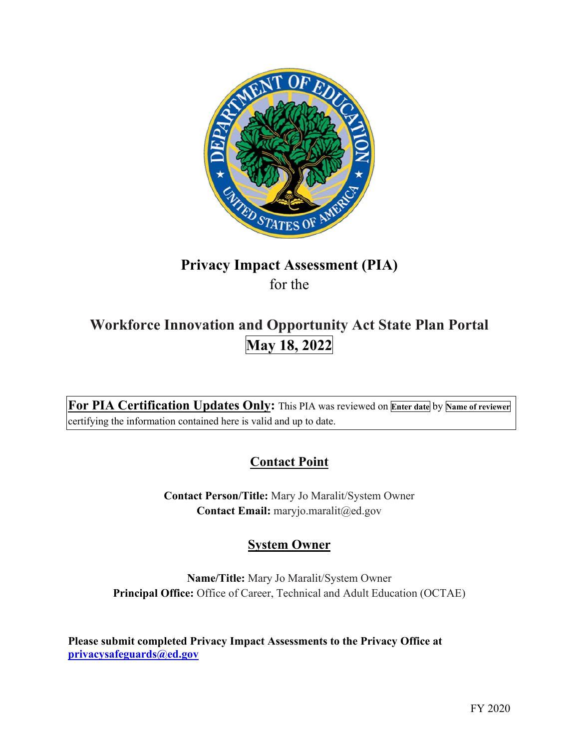

# **Privacy Impact Assessment (PIA)**  for the

# **Workforce Innovation and Opportunity Act State Plan Portal May 18, 2022**

 **For PIA Certification Updates Only:** This PIA was reviewed on **Enter date** by **Name of reviewer**  certifying the information contained here is valid and up to date.

# **Contact Point**

 **Contact Person/Title:** Mary Jo Maralit/System Owner **Contact Email:** [maryjo.maralit@ed.gov](mailto:maryjo.maralit@ed.gov) 

# **System Owner**

 **Name/Title:** Mary Jo Maralit/System Owner **Principal Office:** Office of Career, Technical and Adult Education (OCTAE)

 **[privacysafeguards@ed.gov](mailto:privacysafeguards@ed.gov) Please submit completed Privacy Impact Assessments to the Privacy Office at**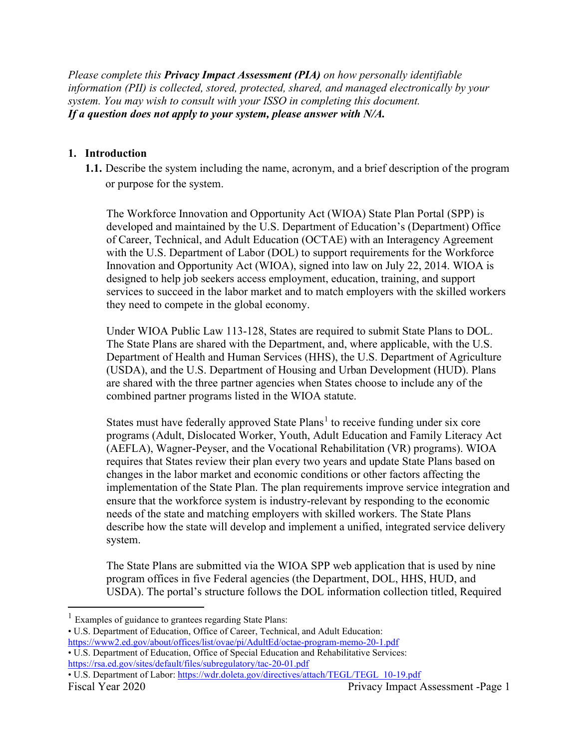*Please complete this Privacy Impact Assessment (PIA) on how personally identifiable information (PII) is collected, stored, protected, shared, and managed electronically by your system. You may wish to consult with your ISSO in completing this document. If a question does not apply to your system, please answer with N/A.* 

## **1. Introduction**

**1.1.** Describe the system including the name, acronym, and a brief description of the program or purpose for the system.

 The Workforce Innovation and Opportunity Act (WIOA) State Plan Portal (SPP) is developed and maintained by the U.S. Department of Education's (Department) Office of Career, Technical, and Adult Education (OCTAE) with an Interagency Agreement with the U.S. Department of Labor (DOL) to support requirements for the Workforce Innovation and Opportunity Act (WIOA), signed into law on July 22, 2014. WIOA is designed to help job seekers access employment, education, training, and support services to succeed in the labor market and to match employers with the skilled workers they need to compete in the global economy.

 are shared with the three partner agencies when States choose to include any of the combined partner programs listed in the WIOA statute. Under WIOA Public Law 113-128, States are required to submit State Plans to DOL. The State Plans are shared with the Department, and, where applicable, with the U.S. Department of Health and Human Services (HHS), the U.S. Department of Agriculture (USDA), and the U.S. Department of Housing and Urban Development (HUD). Plans

 ensure that the workforce system is industry-relevant by responding to the economic needs of the state and matching employers with skilled workers. The State Plans combined partner programs listed in the WIOA statute.<br>States must have federally approved State Plans<sup>1</sup> to receive funding under six core programs (Adult, Dislocated Worker, Youth, Adult Education and Family Literacy Act (AEFLA), Wagner-Peyser, and the Vocational Rehabilitation (VR) programs). WIOA requires that States review their plan every two years and update State Plans based on changes in the labor market and economic conditions or other factors affecting the implementation of the State Plan. The plan requirements improve service integration and describe how the state will develop and implement a unified, integrated service delivery system.

The State Plans are submitted via the WIOA SPP web application that is used by nine program offices in five Federal agencies (the Department, DOL, HHS, HUD, and USDA). The portal's structure follows the DOL information collection titled, Required

<https://rsa.ed.gov/sites/default/files/subregulatory/tac-20-01.pdf>• U.S. Department of Labor: [https://wdr.doleta.gov/directives/attach/TEGL/TEGL\\_10-19.pdf](https://wdr.doleta.gov/directives/attach/TEGL/TEGL_10-19.pdf) 

<sup>&</sup>lt;sup>1</sup> Examples of guidance to grantees regarding State Plans:

https://www2.ed.gov/about/offices/list/ovae/pi/AdultEd/octae-program-memo-20-1.pdf • U.S. Department of Education, Office of Career, Technical, and Adult Education:

https://rsa.ed.gov/sites/default/files/subregulatory/tac-20-01.pdf • U.S. Department of Education, Office of Special Education and Rehabilitative Services: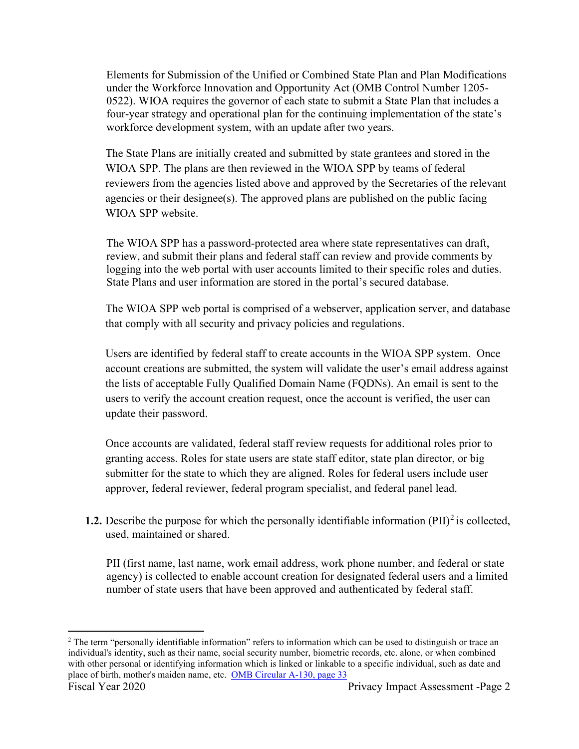Elements for Submission of the Unified or Combined State Plan and Plan Modifications under the Workforce Innovation and Opportunity Act (OMB Control Number 1205- 0522). WIOA requires the governor of each state to submit a State Plan that includes a four-year strategy and operational plan for the continuing implementation of the state's workforce development system, with an update after two years.

The State Plans are initially created and submitted by state grantees and stored in the WIOA SPP. The plans are then reviewed in the WIOA SPP by teams of federal reviewers from the agencies listed above and approved by the Secretaries of the relevant agencies or their designee(s). The approved plans are published on the public facing WIOA SPP website.

The WIOA SPP has a password-protected area where state representatives can draft, review, and submit their plans and federal staff can review and provide comments by logging into the web portal with user accounts limited to their specific roles and duties. State Plans and user information are stored in the portal's secured database.

The WIOA SPP web portal is comprised of a webserver, application server, and database that comply with all security and privacy policies and regulations.

Users are identified by federal staff to create accounts in the WIOA SPP system. Once account creations are submitted, the system will validate the user's email address against the lists of acceptable Fully Qualified Domain Name (FQDNs). An email is sent to the users to verify the account creation request, once the account is verified, the user can update their password.

 approver, federal reviewer, federal program specialist, and federal panel lead. Once accounts are validated, federal staff review requests for additional roles prior to granting access. Roles for state users are state staff editor, state plan director, or big submitter for the state to which they are aligned. Roles for federal users include user

**1.2.** Describe the purpose for which the personally identifiable information  $(PII)^2$  is collected, used, maintained or shared.

 agency) is collected to enable account creation for designated federal users and a limited PII (first name, last name, work email address, work phone number, and federal or state number of state users that have been approved and authenticated by federal staff.

place of birth, mother's maiden name, etc. OMB Circular A-130, page 33 <sup>2</sup> The term "personally identifiable information" refers to information which can be used to distinguish or trace an individual's identity, such as their name, social security number, biometric records, etc. alone, or when combined with other personal or identifying information which is linked or linkable to a specific individual, such as date and Fiscal Year 2020 Privacy Impact Assessment -Page 2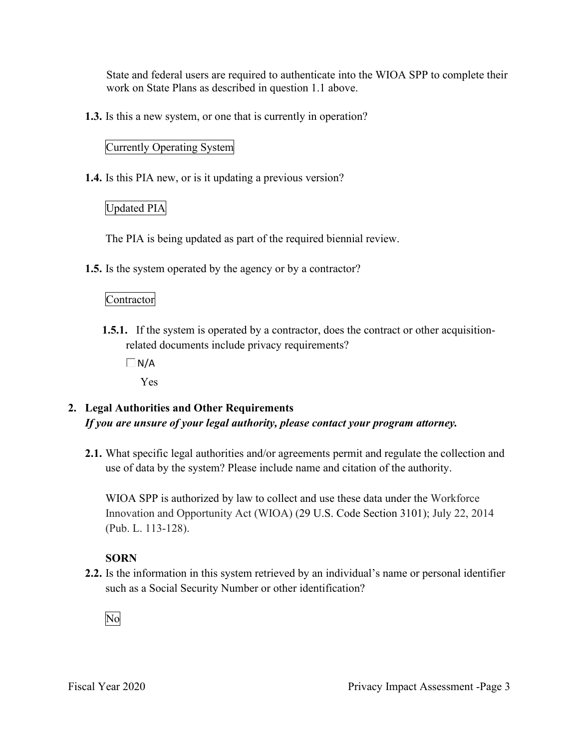State and federal users are required to authenticate into the WIOA SPP to complete their work on State Plans as described in question 1.1 above.

**1.3.** Is this a new system, or one that is currently in operation?

## Currently Operating System

**1.4.** Is this PIA new, or is it updating a previous version?

## Updated PIA

The PIA is being updated as part of the required biennial review.

**1.5.** Is the system operated by the agency or by a contractor?

## Contractor

- **1.5.1.** If the system is operated by a contractor, does the contract or other acquisitionrelated documents include privacy requirements?
	- $\Box$ N/A

Yes

## **2. Legal Authorities and Other Requirements**  *If you are unsure of your legal authority, please contact your program attorney.*

**2.1.** What specific legal authorities and/or agreements permit and regulate the collection and use of data by the system? Please include name and citation of the authority.

WIOA SPP is authorized by law to collect and use these data under the Workforce Innovation and Opportunity Act (WIOA) (29 U.S. Code Section 3101); July 22, 2014 (Pub. L. 113-128).

## **SORN**

such as a Social Security Number or other identification?<br>No **2.2.** Is the information in this system retrieved by an individual's name or personal identifier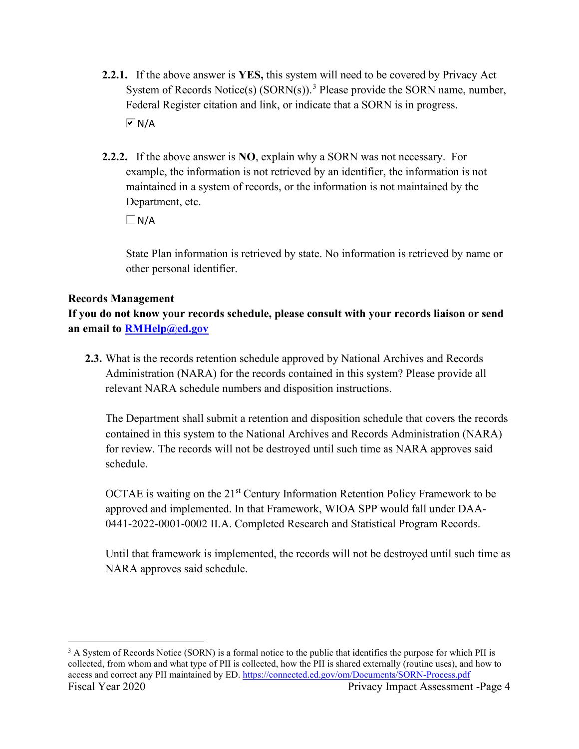- **2.2.1.** If the above answer is **YES,** this system will need to be covered by Privacy Act System of Records Notice(s)  $(SORN(s))$ .<sup>3</sup> Please provide the SORN name, number, Federal Register citation and link, or indicate that a SORN is in progress.  $\overline{M}$  N/A
- **2.2.2.** If the above answer is **NO**, explain why a SORN was not necessary. For Department, etc. example, the information is not retrieved by an identifier, the information is not maintained in a system of records, or the information is not maintained by the

 $\Box$ N/A

State Plan information is retrieved by state. No information is retrieved by name or other personal identifier.

#### **Records Management**

**If you do not know your records schedule, please consult with your records liaison or send an email to [RMHelp@ed.gov](mailto:RMHelp@ed.gov)** 

 **2.3.** What is the records retention schedule approved by National Archives and Records Administration (NARA) for the records contained in this system? Please provide all relevant NARA schedule numbers and disposition instructions.

The Department shall submit a retention and disposition schedule that covers the records contained in this system to the National Archives and Records Administration (NARA) for review. The records will not be destroyed until such time as NARA approves said schedule.

OCTAE is waiting on the  $21<sup>st</sup>$  Century Information Retention Policy Framework to be approved and implemented. In that Framework, WIOA SPP would fall under DAA-0441-2022-0001-0002 II.A. Completed Research and Statistical Program Records.

Until that framework is implemented, the records will not be destroyed until such time as NARA approves said schedule.

access and correct any PII maintained by ED. <u>https://connected.ed.gov/om/Documents/SORN-Process.pdf</u><br>Fiscal Year 2020 Privacy Impact Assessment -Page 4 <sup>3</sup> A System of Records Notice (SORN) is a formal notice to the public that identifies the purpose for which PII is collected, from whom and what type of PII is collected, how the PII is shared externally (routine uses), and how to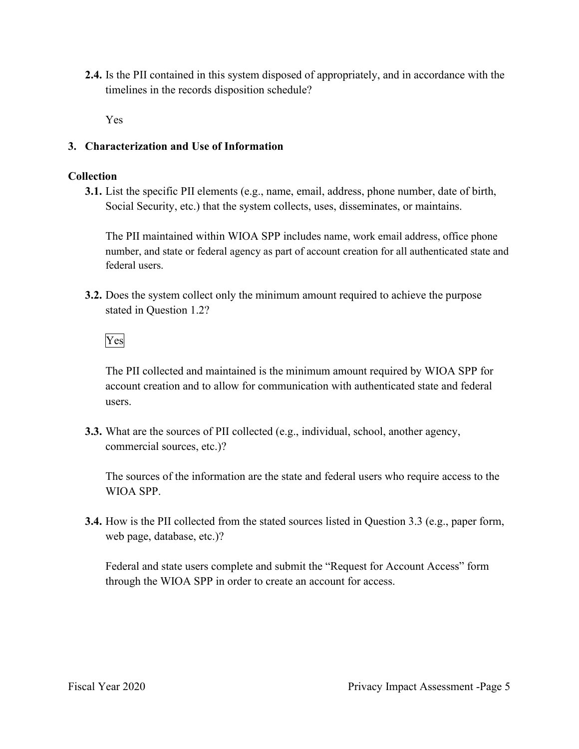**2.4.** Is the PII contained in this system disposed of appropriately, and in accordance with the timelines in the records disposition schedule?

Yes

## **3. Characterization and Use of Information**

#### **Collection**

**3.1.** List the specific PII elements (e.g., name, email, address, phone number, date of birth, Social Security, etc.) that the system collects, uses, disseminates, or maintains.

 number, and state or federal agency as part of account creation for all authenticated state and The PII maintained within WIOA SPP includes name, work email address, office phone federal users.

stated in Question 1.2?<br>Yes **3.2.** Does the system collect only the minimum amount required to achieve the purpose

The PII collected and maintained is the minimum amount required by WIOA SPP for account creation and to allow for communication with authenticated state and federal users.

**3.3.** What are the sources of PII collected (e.g., individual, school, another agency, commercial sources, etc.)?

The sources of the information are the state and federal users who require access to the WIOA SPP.

**3.4.** How is the PII collected from the stated sources listed in Question 3.3 (e.g., paper form, web page, database, etc.)?

Federal and state users complete and submit the "Request for Account Access" form through the WIOA SPP in order to create an account for access.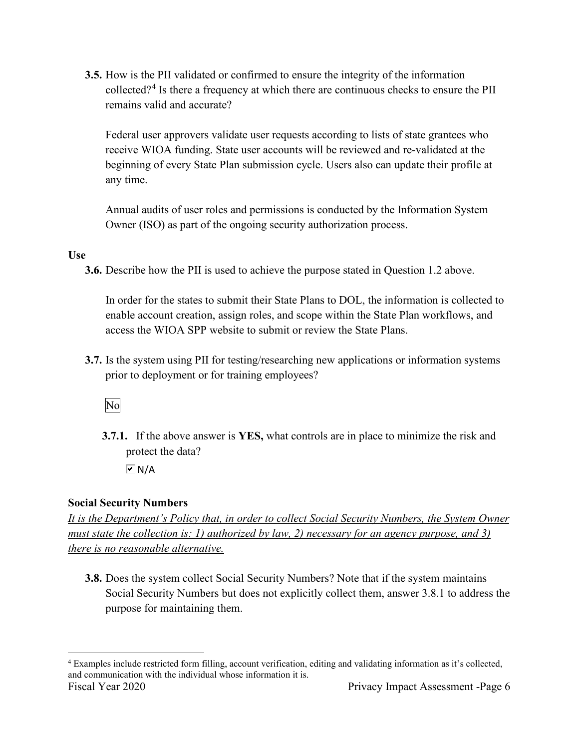**3.5.** How is the PII validated or confirmed to ensure the integrity of the information collected?4 Is there a frequency at which there are continuous checks to ensure the PII remains valid and accurate?

Federal user approvers validate user requests according to lists of state grantees who receive WIOA funding. State user accounts will be reviewed and re-validated at the beginning of every State Plan submission cycle. Users also can update their profile at any time.

Annual audits of user roles and permissions is conducted by the Information System Owner (ISO) as part of the ongoing security authorization process.

## **Use**

**3.6.** Describe how the PII is used to achieve the purpose stated in Question 1.2 above.

 In order for the states to submit their State Plans to DOL, the information is collected to enable account creation, assign roles, and scope within the State Plan workflows, and access the WIOA SPP website to submit or review the State Plans.

prior to deployment or for training employees?<br>No **3.7.** Is the system using PII for testing/researching new applications or information systems

**3.7.1.** If the above answer is **YES,** what controls are in place to minimize the risk and protect the data?

 $\overline{M}$  N/A

## **Social Security Numbers**

*It is the Department's Policy that, in order to collect Social Security Numbers, the System Owner must state the collection is: 1) authorized by law, 2) necessary for an agency purpose, and 3) there is no reasonable alternative.* 

 **3.8.** Does the system collect Social Security Numbers? Note that if the system maintains Social Security Numbers but does not explicitly collect them, answer 3.8.1 to address the purpose for maintaining them.

and communication with the individual whose information it is.<br>Fiscal Year 2020 Privacy Impact Assessment -Page 6 4 Examples include restricted form filling, account verification, editing and validating information as it's collected,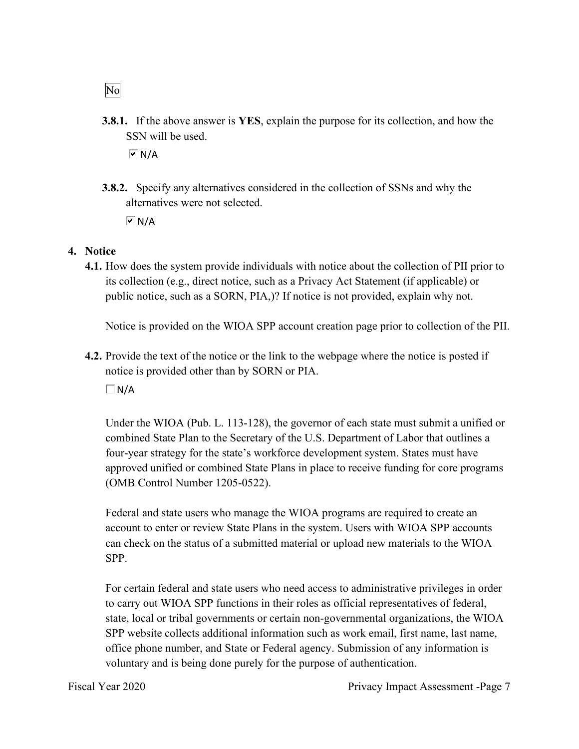**3.8.1.** If the above answer is **YES**, explain the purpose for its collection, and how the SSN will be used.

 $\boxed{\triangledown}$  N/A

**3.8.2.** Specify any alternatives considered in the collection of SSNs and why the alternatives were not selected.

 $\overline{M}$  N/A

#### **4. Notice**

 public notice, such as a SORN, PIA,)? If notice is not provided, explain why not. **4.1.** How does the system provide individuals with notice about the collection of PII prior to its collection (e.g., direct notice, such as a Privacy Act Statement (if applicable) or

Notice is provided on the WIOA SPP account creation page prior to collection of the PII.

**4.2.** Provide the text of the notice or the link to the webpage where the notice is posted if notice is provided other than by SORN or PIA.

 $\Box$ N/A

Under the WIOA (Pub. L. 113-128), the governor of each state must submit a unified or combined State Plan to the Secretary of the U.S. Department of Labor that outlines a four-year strategy for the state's workforce development system. States must have approved unified or combined State Plans in place to receive funding for core programs (OMB Control Number 1205-0522).

 account to enter or review State Plans in the system. Users with WIOA SPP accounts Federal and state users who manage the WIOA programs are required to create an can check on the status of a submitted material or upload new materials to the WIOA SPP.

 For certain federal and state users who need access to administrative privileges in order to carry out WIOA SPP functions in their roles as official representatives of federal, state, local or tribal governments or certain non-governmental organizations, the WIOA SPP website collects additional information such as work email, first name, last name, office phone number, and State or Federal agency. Submission of any information is voluntary and is being done purely for the purpose of authentication.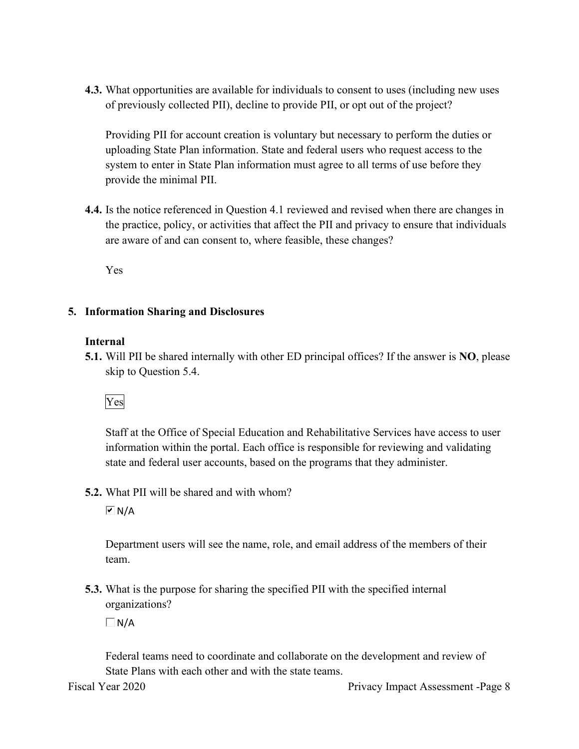**4.3.** What opportunities are available for individuals to consent to uses (including new uses of previously collected PII), decline to provide PII, or opt out of the project?

Providing PII for account creation is voluntary but necessary to perform the duties or uploading State Plan information. State and federal users who request access to the system to enter in State Plan information must agree to all terms of use before they provide the minimal PII.

 are aware of and can consent to, where feasible, these changes? **4.4.** Is the notice referenced in Question 4.1 reviewed and revised when there are changes in the practice, policy, or activities that affect the PII and privacy to ensure that individuals

Yes

#### **5. Information Sharing and Disclosures**

#### **Internal**

 **5.1.** Will PII be shared internally with other ED principal offices? If the answer is **NO**, please skip to Question 5.4.

## Yes

Staff at the Office of Special Education and Rehabilitative Services have access to user information within the portal. Each office is responsible for reviewing and validating state and federal user accounts, based on the programs that they administer.

#### **5.2.** What PII will be shared and with whom?

 $\overline{M}$  N/A

Department users will see the name, role, and email address of the members of their team.

 organizations? **5.3.** What is the purpose for sharing the specified PII with the specified internal

 $\Box$ N/A

Federal teams need to coordinate and collaborate on the development and review of State Plans with each other and with the state teams.

Fiscal Year 2020 Privacy Impact Assessment -Page 8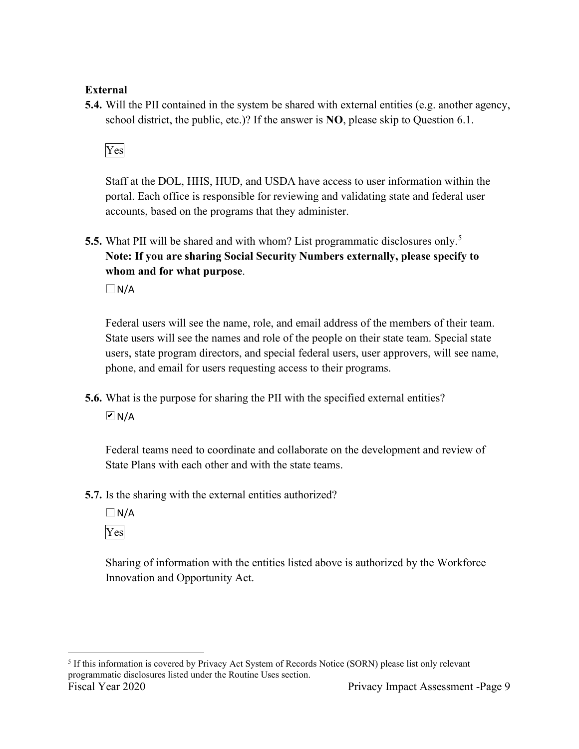## **External**

**5.4.** Will the PII contained in the system be shared with external entities (e.g. another agency, school district, the public, etc.)? If the answer is **NO**, please skip to Question 6.1.

## Yes

 portal. Each office is responsible for reviewing and validating state and federal user Staff at the DOL, HHS, HUD, and USDA have access to user information within the accounts, based on the programs that they administer.

**5.5.** What PII will be shared and with whom? List programmatic disclosures only.<sup>5</sup> **Note: If you are sharing Social Security Numbers externally, please specify to whom and for what purpose**.

 $\Box$ N/A

Federal users will see the name, role, and email address of the members of their team. State users will see the names and role of the people on their state team. Special state users, state program directors, and special federal users, user approvers, will see name, phone, and email for users requesting access to their programs.

**5.6.** What is the purpose for sharing the PII with the specified external entities?  $\overline{M}$  N/A

Federal teams need to coordinate and collaborate on the development and review of State Plans with each other and with the state teams.

**5.7.** Is the sharing with the external entities authorized?

 $\Box$ N/A Yes

Sharing of information with the entities listed above is authorized by the Workforce Innovation and Opportunity Act.

<sup>5</sup> If this information is covered by Privacy Act System of Records Notice (SORN) please list only relevant programmatic disclosures listed under the Routine Uses section. Fiscal Year 2020 Privacy Impact Assessment -Page 9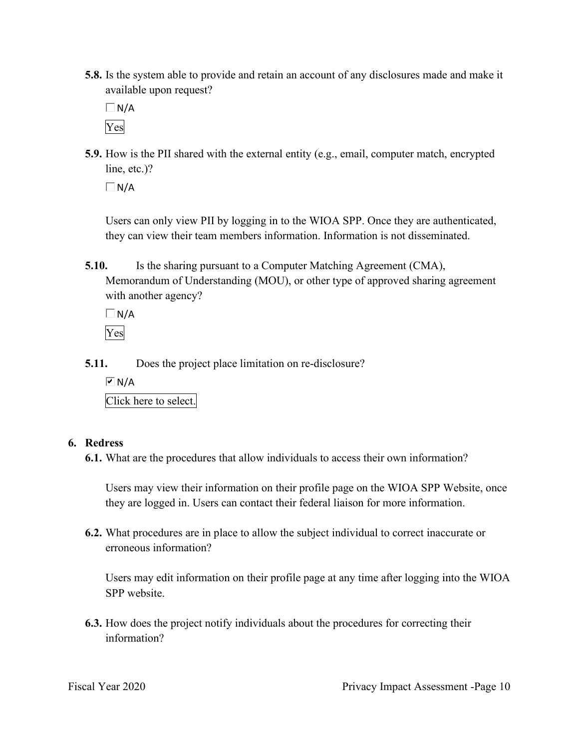**5.8.** Is the system able to provide and retain an account of any disclosures made and make it available upon request?

 $\Box$  N/A Yes

 **5.9.** How is the PII shared with the external entity (e.g., email, computer match, encrypted line, etc.)?

 $\Box$ N/A

Users can only view PII by logging in to the WIOA SPP. Once they are authenticated, they can view their team members information. Information is not disseminated.

**5.10.** Is the sharing pursuant to a Computer Matching Agreement (CMA), Memorandum of Understanding (MOU), or other type of approved sharing agreement with another agency?

 $\Box N/A$ Yes

- **5.11.** Does the project place limitation on re-disclosure?
	- $\boxed{\triangleright}$  N/A

Click here to select.

## **6. Redress**

**6.1.** What are the procedures that allow individuals to access their own information?

 Users may view their information on their profile page on the WIOA SPP Website, once they are logged in. Users can contact their federal liaison for more information.

**6.2.** What procedures are in place to allow the subject individual to correct inaccurate or erroneous information?

 SPP website. Users may edit information on their profile page at any time after logging into the WIOA

**6.3.** How does the project notify individuals about the procedures for correcting their information?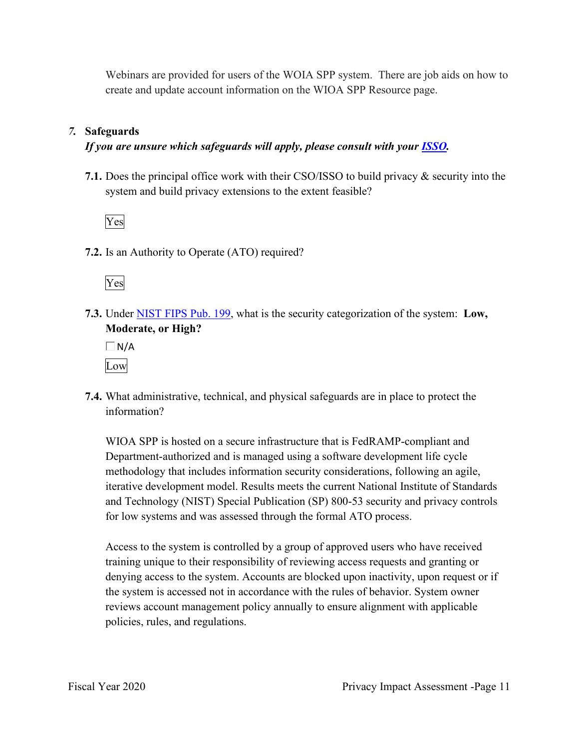Webinars are provided for users of the WOIA SPP system. There are job aids on how to create and update account information on the WIOA SPP Resource page.

#### *7.* **Safeguards**

#### *If you are unsure which safeguards will apply, please consult with your ISSO.*

 system and build privacy extensions to the extent feasible? **7.1.** Does the principal office work with their CSO/ISSO to build privacy & security into the



**7.2.** Is an Authority to Operate (ATO) required?



**7.3.** Under NIST FIPS Pub. 199, what is the security categorization of the system: **Low, Moderate, or High?** 

 $\Box$  N/A Low

**7.4.** What administrative, technical, and physical safeguards are in place to protect the information?

 Department-authorized and is managed using a software development life cycle WIOA SPP is hosted on a secure infrastructure that is FedRAMP-compliant and methodology that includes information security considerations, following an agile, iterative development model. Results meets the current National Institute of Standards and Technology (NIST) Special Publication (SP) 800-53 security and privacy controls for low systems and was assessed through the formal ATO process.

 the system is accessed not in accordance with the rules of behavior. System owner Access to the system is controlled by a group of approved users who have received training unique to their responsibility of reviewing access requests and granting or denying access to the system. Accounts are blocked upon inactivity, upon request or if reviews account management policy annually to ensure alignment with applicable policies, rules, and regulations.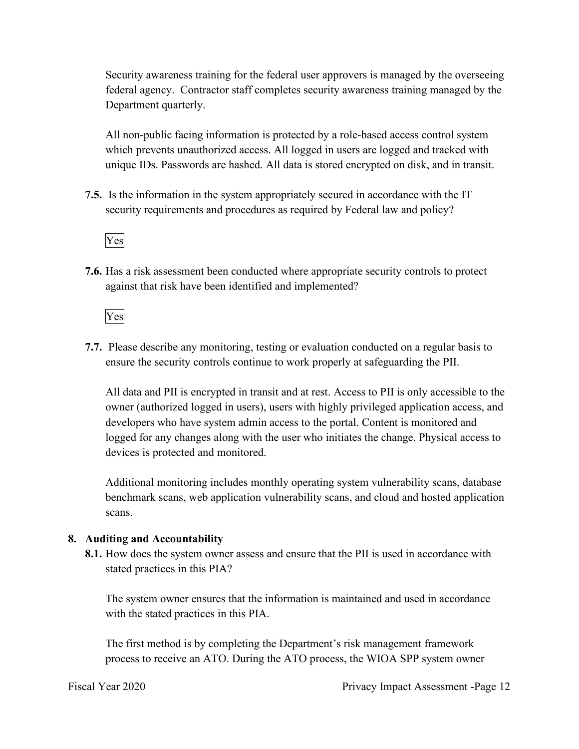federal agency. Contractor staff completes security awareness training managed by the Security awareness training for the federal user approvers is managed by the overseeing Department quarterly.

All non-public facing information is protected by a role-based access control system which prevents unauthorized access. All logged in users are logged and tracked with unique IDs. Passwords are hashed. All data is stored encrypted on disk, and in transit.

 **7.5.** Is the information in the system appropriately secured in accordance with the IT security requirements and procedures as required by Federal law and policy?



**7.6.** Has a risk assessment been conducted where appropriate security controls to protect against that risk have been identified and implemented?

Yes

 ensure the security controls continue to work properly at safeguarding the PII. **7.7.** Please describe any monitoring, testing or evaluation conducted on a regular basis to

All data and PII is encrypted in transit and at rest. Access to PII is only accessible to the owner (authorized logged in users), users with highly privileged application access, and developers who have system admin access to the portal. Content is monitored and logged for any changes along with the user who initiates the change. Physical access to devices is protected and monitored.

Additional monitoring includes monthly operating system vulnerability scans, database benchmark scans, web application vulnerability scans, and cloud and hosted application scans.

## **8. Auditing and Accountability**

 **8.1.** How does the system owner assess and ensure that the PII is used in accordance with stated practices in this PIA?

The system owner ensures that the information is maintained and used in accordance with the stated practices in this PIA.

The first method is by completing the Department's risk management framework process to receive an ATO. During the ATO process, the WIOA SPP system owner